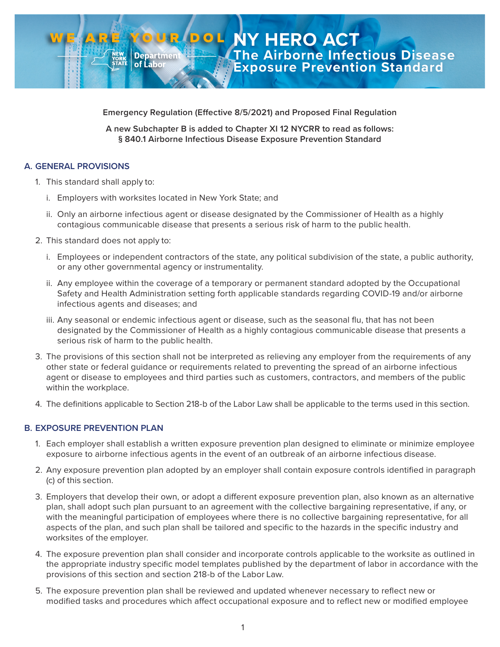**Emergency Regulation (Effective 8/5/2021) and Proposed Final Regulation**

**A new Subchapter B is added to Chapter XI 12 NYCRR to read as follows: § 840.1 Airborne Infectious Disease Exposure Prevention Standard**

#### **A. GENERAL PROVISIONS**

- 1. This standard shall apply to:
	- i. Employers with worksites located in New York State; and

**Department** of Labo

- ii. Only an airborne infectious agent or disease designated by the Commissioner of Health as a highly contagious communicable disease that presents a serious risk of harm to the public health.
- 2. This standard does not apply to:
	- i. Employees or independent contractors of the state, any political subdivision of the state, a public authority, or any other governmental agency or instrumentality.
	- ii. Any employee within the coverage of a temporary or permanent standard adopted by the Occupational Safety and Health Administration setting forth applicable standards regarding COVID-19 and/or airborne infectious agents and diseases; and
	- iii. Any seasonal or endemic infectious agent or disease, such as the seasonal flu, that has not been designated by the Commissioner of Health as a highly contagious communicable disease that presents a serious risk of harm to the public health.
- 3. The provisions of this section shall not be interpreted as relieving any employer from the requirements of any other state or federal guidance or requirements related to preventing the spread of an airborne infectious agent or disease to employees and third parties such as customers, contractors, and members of the public within the workplace.
- 4. The definitions applicable to Section 218-b of the Labor Law shall be applicable to the terms used in this section.

## **B. EXPOSURE PREVENTION PLAN**

- 1. Each employer shall establish a written exposure prevention plan designed to eliminate or minimize employee exposure to airborne infectious agents in the event of an outbreak of an airborne infectious disease.
- 2. Any exposure prevention plan adopted by an employer shall contain exposure controls identified in paragraph (c) of this section.
- 3. Employers that develop their own, or adopt a different exposure prevention plan, also known as an alternative plan, shall adopt such plan pursuant to an agreement with the collective bargaining representative, if any, or with the meaningful participation of employees where there is no collective bargaining representative, for all aspects of the plan, and such plan shall be tailored and specific to the hazards in the specific industry and worksites of the employer.
- 4. The exposure prevention plan shall consider and incorporate controls applicable to the worksite as outlined in the appropriate industry specific model templates published by the department of labor in accordance with the provisions of this section and section 218-b of the Labor Law.
- 5. The exposure prevention plan shall be reviewed and updated whenever necessary to reflect new or modified tasks and procedures which affect occupational exposure and to reflect new or modified employee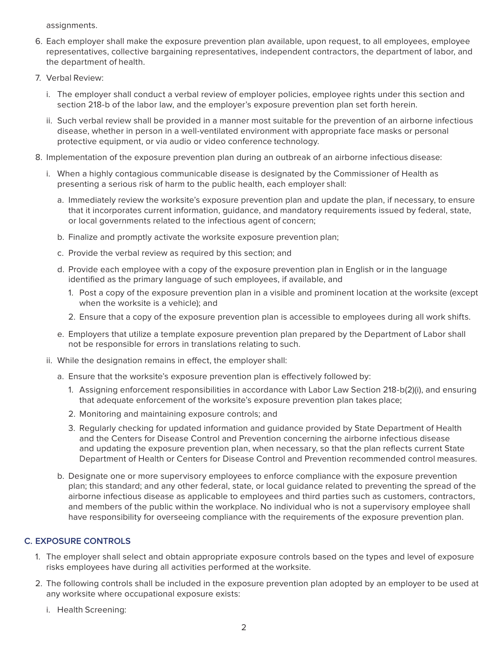assignments.

- 6. Each employer shall make the exposure prevention plan available, upon request, to all employees, employee representatives, collective bargaining representatives, independent contractors, the department of labor, and the department of health.
- 7. Verbal Review:
	- i. The employer shall conduct a verbal review of employer policies, employee rights under this section and section 218-b of the labor law, and the employer's exposure prevention plan set forth herein.
	- ii. Such verbal review shall be provided in a manner most suitable for the prevention of an airborne infectious disease, whether in person in a well-ventilated environment with appropriate face masks or personal protective equipment, or via audio or video conference technology.
- 8. Implementation of the exposure prevention plan during an outbreak of an airborne infectious disease:
	- i. When a highly contagious communicable disease is designated by the Commissioner of Health as presenting a serious risk of harm to the public health, each employer shall:
		- a. Immediately review the worksite's exposure prevention plan and update the plan, if necessary, to ensure that it incorporates current information, guidance, and mandatory requirements issued by federal, state, or local governments related to the infectious agent of concern;
		- b. Finalize and promptly activate the worksite exposure prevention plan;
		- c. Provide the verbal review as required by this section; and
		- d. Provide each employee with a copy of the exposure prevention plan in English or in the language identified as the primary language of such employees, if available, and
			- 1. Post a copy of the exposure prevention plan in a visible and prominent location at the worksite (except when the worksite is a vehicle); and
			- 2. Ensure that a copy of the exposure prevention plan is accessible to employees during all work shifts.
		- e. Employers that utilize a template exposure prevention plan prepared by the Department of Labor shall not be responsible for errors in translations relating to such.
	- ii. While the designation remains in effect, the employer shall:
		- a. Ensure that the worksite's exposure prevention plan is effectively followed by:
			- 1. Assigning enforcement responsibilities in accordance with Labor Law Section 218-b(2)(i), and ensuring that adequate enforcement of the worksite's exposure prevention plan takes place;
			- 2. Monitoring and maintaining exposure controls; and
			- 3. Regularly checking for updated information and guidance provided by State Department of Health and the Centers for Disease Control and Prevention concerning the airborne infectious disease and updating the exposure prevention plan, when necessary, so that the plan reflects current State Department of Health or Centers for Disease Control and Prevention recommended control measures.
		- b. Designate one or more supervisory employees to enforce compliance with the exposure prevention plan; this standard; and any other federal, state, or local guidance related to preventing the spread of the airborne infectious disease as applicable to employees and third parties such as customers, contractors, and members of the public within the workplace. No individual who is not a supervisory employee shall have responsibility for overseeing compliance with the requirements of the exposure prevention plan.

## **C. EXPOSURE CONTROLS**

- 1. The employer shall select and obtain appropriate exposure controls based on the types and level of exposure risks employees have during all activities performed at the worksite.
- 2. The following controls shall be included in the exposure prevention plan adopted by an employer to be used at any worksite where occupational exposure exists:
	- i. Health Screening: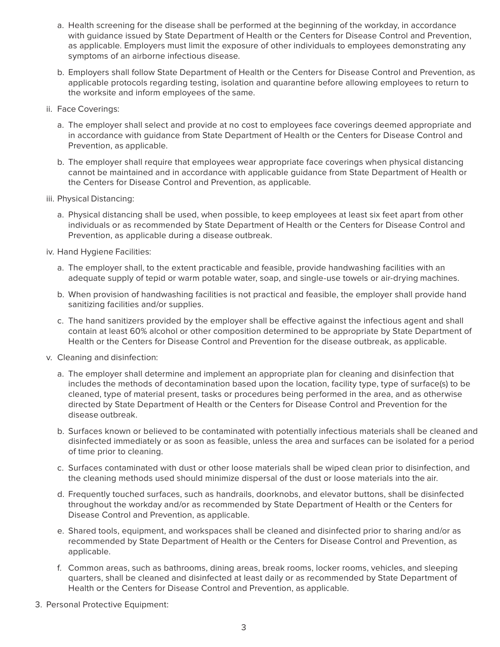- a. Health screening for the disease shall be performed at the beginning of the workday, in accordance with guidance issued by State Department of Health or the Centers for Disease Control and Prevention, as applicable. Employers must limit the exposure of other individuals to employees demonstrating any symptoms of an airborne infectious disease.
- b. Employers shall follow State Department of Health or the Centers for Disease Control and Prevention, as applicable protocols regarding testing, isolation and quarantine before allowing employees to return to the worksite and inform employees of the same.
- ii. Face Coverings:
	- a. The employer shall select and provide at no cost to employees face coverings deemed appropriate and in accordance with guidance from State Department of Health or the Centers for Disease Control and Prevention, as applicable.
	- b. The employer shall require that employees wear appropriate face coverings when physical distancing cannot be maintained and in accordance with applicable guidance from State Department of Health or the Centers for Disease Control and Prevention, as applicable.
- iii. Physical Distancing:
	- a. Physical distancing shall be used, when possible, to keep employees at least six feet apart from other individuals or as recommended by State Department of Health or the Centers for Disease Control and Prevention, as applicable during a disease outbreak.
- iv. Hand Hygiene Facilities:
	- a. The employer shall, to the extent practicable and feasible, provide handwashing facilities with an adequate supply of tepid or warm potable water, soap, and single-use towels or air-drying machines.
	- b. When provision of handwashing facilities is not practical and feasible, the employer shall provide hand sanitizing facilities and/or supplies.
	- c. The hand sanitizers provided by the employer shall be effective against the infectious agent and shall contain at least 60% alcohol or other composition determined to be appropriate by State Department of Health or the Centers for Disease Control and Prevention for the disease outbreak, as applicable.
- v. Cleaning and disinfection:
	- a. The employer shall determine and implement an appropriate plan for cleaning and disinfection that includes the methods of decontamination based upon the location, facility type, type of surface(s) to be cleaned, type of material present, tasks or procedures being performed in the area, and as otherwise directed by State Department of Health or the Centers for Disease Control and Prevention for the disease outbreak.
	- b. Surfaces known or believed to be contaminated with potentially infectious materials shall be cleaned and disinfected immediately or as soon as feasible, unless the area and surfaces can be isolated for a period of time prior to cleaning.
	- c. Surfaces contaminated with dust or other loose materials shall be wiped clean prior to disinfection, and the cleaning methods used should minimize dispersal of the dust or loose materials into the air.
	- d. Frequently touched surfaces, such as handrails, doorknobs, and elevator buttons, shall be disinfected throughout the workday and/or as recommended by State Department of Health or the Centers for Disease Control and Prevention, as applicable.
	- e. Shared tools, equipment, and workspaces shall be cleaned and disinfected prior to sharing and/or as recommended by State Department of Health or the Centers for Disease Control and Prevention, as applicable.
	- f. Common areas, such as bathrooms, dining areas, break rooms, locker rooms, vehicles, and sleeping quarters, shall be cleaned and disinfected at least daily or as recommended by State Department of Health or the Centers for Disease Control and Prevention, as applicable.
- 3. Personal Protective Equipment: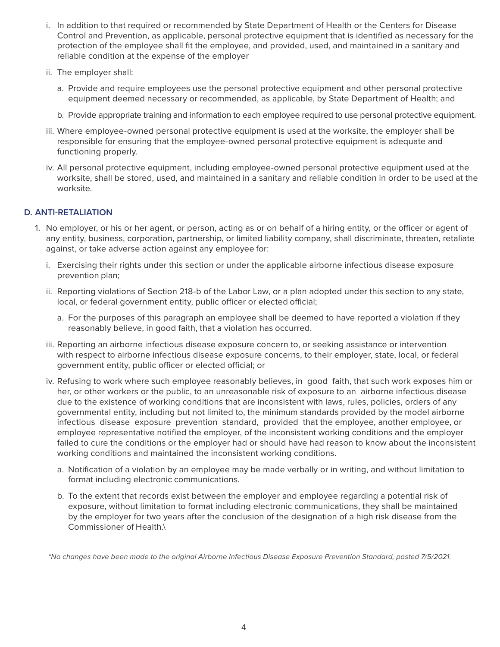- i. In addition to that required or recommended by State Department of Health or the Centers for Disease Control and Prevention, as applicable, personal protective equipment that is identified as necessary for the protection of the employee shall fit the employee, and provided, used, and maintained in a sanitary and reliable condition at the expense of the employer
- ii. The employer shall:
	- a. Provide and require employees use the personal protective equipment and other personal protective equipment deemed necessary or recommended, as applicable, by State Department of Health; and
	- b. Provide appropriate training and information to each employee required to use personal protective equipment.
- iii. Where employee-owned personal protective equipment is used at the worksite, the employer shall be responsible for ensuring that the employee-owned personal protective equipment is adequate and functioning properly.
- iv. All personal protective equipment, including employee-owned personal protective equipment used at the worksite, shall be stored, used, and maintained in a sanitary and reliable condition in order to be used at the worksite.

#### **D. ANTI-RETALIATION**

- 1. No employer, or his or her agent, or person, acting as or on behalf of a hiring entity, or the officer or agent of any entity, business, corporation, partnership, or limited liability company, shall discriminate, threaten, retaliate against, or take adverse action against any employee for:
	- i. Exercising their rights under this section or under the applicable airborne infectious disease exposure prevention plan;
	- ii. Reporting violations of Section 218-b of the Labor Law, or a plan adopted under this section to any state, local, or federal government entity, public officer or elected official;
		- a. For the purposes of this paragraph an employee shall be deemed to have reported a violation if they reasonably believe, in good faith, that a violation has occurred.
	- iii. Reporting an airborne infectious disease exposure concern to, or seeking assistance or intervention with respect to airborne infectious disease exposure concerns, to their employer, state, local, or federal government entity, public officer or elected official; or
	- iv. Refusing to work where such employee reasonably believes, in good faith, that such work exposes him or her, or other workers or the public, to an unreasonable risk of exposure to an airborne infectious disease due to the existence of working conditions that are inconsistent with laws, rules, policies, orders of any governmental entity, including but not limited to, the minimum standards provided by the model airborne infectious disease exposure prevention standard, provided that the employee, another employee, or employee representative notified the employer, of the inconsistent working conditions and the employer failed to cure the conditions or the employer had or should have had reason to know about the inconsistent working conditions and maintained the inconsistent working conditions.
		- a. Notification of a violation by an employee may be made verbally or in writing, and without limitation to format including electronic communications.
		- b. To the extent that records exist between the employer and employee regarding a potential risk of exposure, without limitation to format including electronic communications, they shall be maintained by the employer for two years after the conclusion of the designation of a high risk disease from the Commissioner of Health.\

*\*No changes have been made to the original Airborne Infectious Disease Exposure Prevention Standard, posted 7/5/2021.*